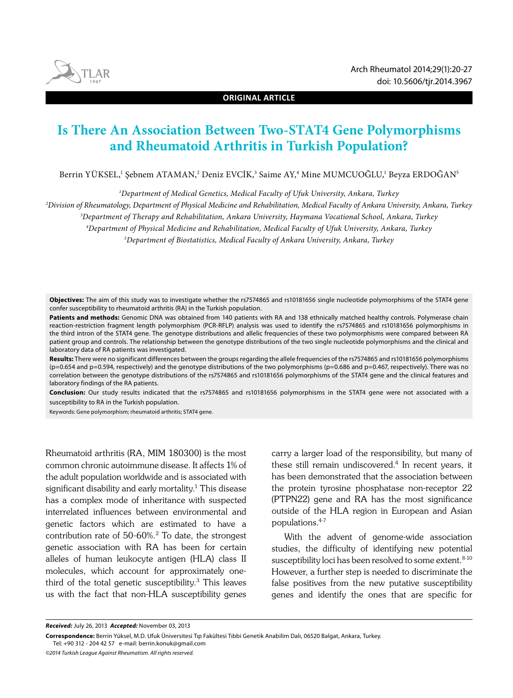

**ORIGINAL ARTICLE**

# **Is There An Association Between Two-STAT4 Gene Polymorphisms and Rheumatoid Arthritis in Turkish Population?**

Berrin YÜKSEL,' Şebnem ATAMAN,<sup>2</sup> Deniz EVCİK,<sup>3</sup> Saime AY,<sup>4</sup> Mine MUMCUOĞLU,' Beyza ERDOĞAN<sup>5</sup>

*1 Department of Medical Genetics, Medical Faculty of Ufuk University, Ankara, Turkey*

*2 Division of Rheumatology, Department of Physical Medicine and Rehabilitation, Medical Faculty of Ankara University, Ankara, Turkey*

*3 Department of Therapy and Rehabilitation, Ankara University, Haymana Vocational School, Ankara, Turkey*

*4 Department of Physical Medicine and Rehabilitation, Medical Faculty of Ufuk University, Ankara, Turkey*

*5 Department of Biostatistics, Medical Faculty of Ankara University, Ankara, Turkey*

**Objectives:** The aim of this study was to investigate whether the rs7574865 and rs10181656 single nucleotide polymorphisms of the STAT4 gene confer susceptibility to rheumatoid arthritis (RA) in the Turkish population.

**Patients and methods:** Genomic DNA was obtained from 140 patients with RA and 138 ethnically matched healthy controls. Polymerase chain reaction-restriction fragment length polymorphism (PCR-RFLP) analysis was used to identify the rs7574865 and rs10181656 polymorphisms in the third intron of the STAT4 gene. The genotype distributions and allelic frequencies of these two polymorphisms were compared between RA patient group and controls. The relationship between the genotype distributions of the two single nucleotide polymorphisms and the clinical and laboratory data of RA patients was investigated.

**Results:** There were no significant differences between the groups regarding the allele frequencies of the rs7574865 and rs10181656 polymorphisms (p=0.654 and p=0.594, respectively) and the genotype distributions of the two polymorphisms (p=0.686 and p=0.467, respectively). There was no correlation between the genotype distributions of the rs7574865 and rs10181656 polymorphisms of the STAT4 gene and the clinical features and laboratory findings of the RA patients.

**Conclusion:** Our study results indicated that the rs7574865 and rs10181656 polymorphisms in the STAT4 gene were not associated with a susceptibility to RA in the Turkish population.

Keywords: Gene polymorphism; rheumatoid arthritis; STAT4 gene.

Rheumatoid arthritis (RA, MIM 180300) is the most common chronic autoimmune disease. It affects 1% of the adult population worldwide and is associated with significant disability and early mortality.1 This disease has a complex mode of inheritance with suspected interrelated influences between environmental and genetic factors which are estimated to have a contribution rate of 50-60%.2 To date, the strongest genetic association with RA has been for certain alleles of human leukocyte antigen (HLA) class II molecules, which account for approximately onethird of the total genetic susceptibility.<sup>3</sup> This leaves us with the fact that non-HLA susceptibility genes

carry a larger load of the responsibility, but many of these still remain undiscovered.<sup>4</sup> In recent years, it has been demonstrated that the association between the protein tyrosine phosphatase non-receptor 22 (PTPN22) gene and RA has the most significance outside of the HLA region in European and Asian populations.4-7

With the advent of genome-wide association studies, the difficulty of identifying new potential susceptibility loci has been resolved to some extent. 8-10 However, a further step is needed to discriminate the false positives from the new putative susceptibility genes and identify the ones that are specific for

*Received:* July 26, 2013 *Accepted:* November 03, 2013

**Correspondence:** Berrin Yüksel, M.D. Ufuk Üniversitesi Tıp Fakültesi Tıbbi Genetik Anabilim Dalı, 06520 Balgat, Ankara, Turkey. Tel: +90 312 - 204 42 57 e-mail: berrin.konuk@gmail.com

*<sup>©2014</sup> Turkish League Against Rheumatism. All rights reserved.*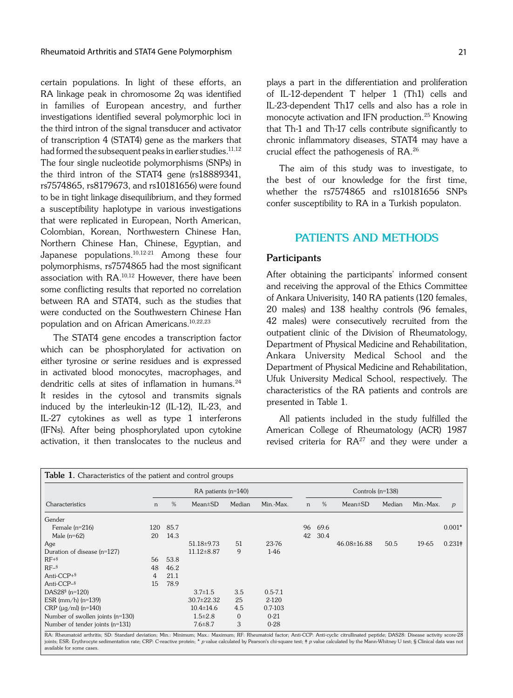certain populations. In light of these efforts, an RA linkage peak in chromosome 2q was identified in families of European ancestry, and further investigations identified several polymorphic loci in the third intron of the signal transducer and activator of transcription 4 (STAT4) gene as the markers that had formed the subsequent peaks in earlier studies.<sup>11,12</sup> The four single nucleotide polymorphisms (SNPs) in the third intron of the STAT4 gene (rs18889341, rs7574865, rs8179673, and rs10181656) were found to be in tight linkage disequilibrium, and they formed a susceptibility haplotype in various investigations that were replicated in European, North American, Colombian, Korean, Northwestern Chinese Han, Northern Chinese Han, Chinese, Egyptian, and Japanese populations.10,12-21 Among these four polymorphisms, rs7574865 had the most significant association with RA.10,12 However, there have been some conflicting results that reported no correlation between RA and STAT4, such as the studies that were conducted on the Southwestern Chinese Han population and on African Americans.10,22,23

The STAT4 gene encodes a transcription factor which can be phosphorylated for activation on either tyrosine or serine residues and is expressed in activated blood monocytes, macrophages, and dendritic cells at sites of inflamation in humans.<sup>24</sup> It resides in the cytosol and transmits signals induced by the interleukin-12 (IL-12), IL-23, and IL-27 cytokines as well as type 1 interferons (IFNs). After being phosphorylated upon cytokine activation, it then translocates to the nucleus and

plays a part in the differentiation and proliferation of IL-12-dependent T helper 1 (Th1) cells and IL-23-dependent Th17 cells and also has a role in monocyte activation and IFN production.<sup>25</sup> Knowing that Th-1 and Th-17 cells contribute significantly to chronic inflammatory diseases, STAT4 may have a crucial effect the pathogenesis of RA.26

The aim of this study was to investigate, to the best of our knowledge for the first time, whether the rs7574865 and rs10181656 SNPs confer susceptibility to RA in a Turkish populaton.

# **PATIENTS AND METHODS**

### **Participants**

After obtaining the participants' informed consent and receiving the approval of the Ethics Committee of Ankara Univerisity, 140 RA patients (120 females, 20 males) and 138 healthy controls (96 females, 42 males) were consecutively recruited from the outpatient clinic of the Division of Rheumatology, Department of Physical Medicine and Rehabilitation, Ankara University Medical School and the Department of Physical Medicine and Rehabilitation, Ufuk University Medical School, respectively. The characteristics of the RA patients and controls are presented in Table 1.

All patients included in the study fulfilled the American College of Rheumatology (ACR) 1987 revised criteria for  $RA^{27}$  and they were under a

| <b>Table 1.</b> Characteristics of the patient and control groups                                                                                                                                                                                                 |                           |      |                           |                   |                      |    |                    |                                                        |                            |           |                |  |
|-------------------------------------------------------------------------------------------------------------------------------------------------------------------------------------------------------------------------------------------------------------------|---------------------------|------|---------------------------|-------------------|----------------------|----|--------------------|--------------------------------------------------------|----------------------------|-----------|----------------|--|
|                                                                                                                                                                                                                                                                   | $RA$ patients ( $n=140$ ) |      |                           |                   |                      |    | Controls $(n=138)$ |                                                        |                            |           |                |  |
| Characteristics                                                                                                                                                                                                                                                   | n                         | %    | $Mean \pm SD$             | Median            | Min.-Max.            | n  | %                  | $Mean \pm SD$                                          | Median                     | Min.-Max. | $\overline{p}$ |  |
| Gender                                                                                                                                                                                                                                                            |                           |      |                           |                   |                      |    |                    |                                                        |                            |           |                |  |
| Female $(n=216)$                                                                                                                                                                                                                                                  | 120                       | 85.7 |                           |                   |                      | 96 | 69.6               |                                                        |                            |           | $0.001*$       |  |
| Male $(n=62)$                                                                                                                                                                                                                                                     | 20                        | 14.3 |                           |                   |                      | 42 | 30.4               |                                                        |                            |           |                |  |
| Age                                                                                                                                                                                                                                                               |                           |      | 51.18±9.73                | 51                | 23-76                |    |                    | 46.08±16.88                                            | 50.5                       | 19-65     | $0.231\dagger$ |  |
| Duration of disease (n=127)                                                                                                                                                                                                                                       |                           |      | $11.12 \pm 8.87$          | 9                 | $1-46$               |    |                    |                                                        |                            |           |                |  |
| $RF+§$                                                                                                                                                                                                                                                            | 56                        | 53.8 |                           |                   |                      |    |                    |                                                        |                            |           |                |  |
| $RF-5$                                                                                                                                                                                                                                                            | 48                        | 46.2 |                           |                   |                      |    |                    |                                                        |                            |           |                |  |
| Anti-CCP+§                                                                                                                                                                                                                                                        | 4                         | 21.1 |                           |                   |                      |    |                    |                                                        |                            |           |                |  |
| Anti-CCP-§                                                                                                                                                                                                                                                        | 15                        | 78.9 |                           |                   |                      |    |                    |                                                        |                            |           |                |  |
| DAS28 <sup>§</sup> (n=120)                                                                                                                                                                                                                                        |                           |      | $3.7 \pm 1.5$             | 3.5               | $0.5 - 7.1$          |    |                    |                                                        |                            |           |                |  |
| ESR $\frac{\text{mm}}{\text{h}}$ (n=139)                                                                                                                                                                                                                          |                           |      | $30.7 \pm 22.32$          | 25                | 2-120                |    |                    |                                                        |                            |           |                |  |
| CRP ( $\mu$ g/ml) (n=140)                                                                                                                                                                                                                                         |                           |      | $10.4 \pm 14.6$           | 4.5               | $0.7 - 103$          |    |                    |                                                        |                            |           |                |  |
| Number of swollen joints (n=130)                                                                                                                                                                                                                                  |                           |      | $1.5 \pm 2.8$             | $\mathbf{0}$      | $0 - 21$             |    |                    |                                                        |                            |           |                |  |
| Number of tender joints (n=131)<br>man million and an month and an interesting and an interesting and an interesting and an interesting and a series of the series of the series of the series of the series of the series of the series of the series of the ser |                           |      | $7.6 \pm 8.7$<br>$\cdots$ | 3<br>$\mathbf{r}$ | $0 - 28$<br>$\cdots$ |    |                    | <b>CONTRACTOR</b> And All Contractor Manufacturers and | $\cdots$ $\cdots$ $\cdots$ |           |                |  |

RA: Rheumatoid arthritis; SD: Standard deviation; Min.: Minimum; Max.: Maximum; RF: Rheumatoid factor; Anti-CCP: Anti-cyclic citrullinated peptide; DAS28: Disease activity score-28<br>joints; ESR: Erythrocyte sedimentation ra available for some cases.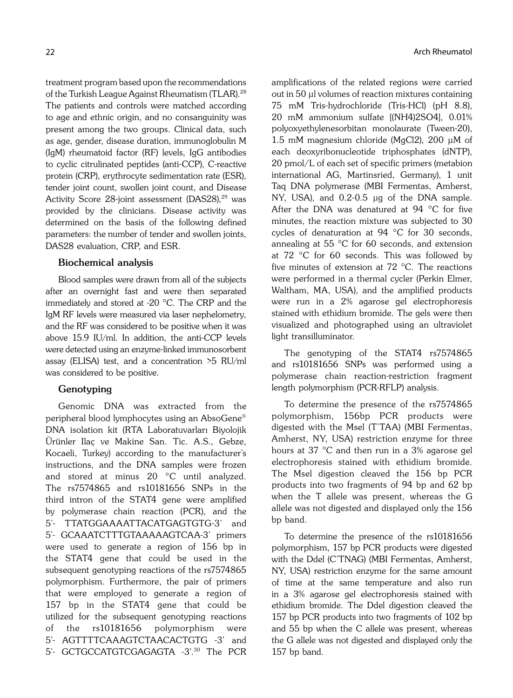treatment program based upon the recommendations of the Turkish League Against Rheumatism (TLAR).<sup>28</sup> The patients and controls were matched according to age and ethnic origin, and no consanguinity was present among the two groups. Clinical data, such as age, gender, disease duration, immunoglobulin M (IgM) rheumatoid factor (RF) levels, IgG antibodies to cyclic citrulinated peptides (anti-CCP), C-reactive protein (CRP), erythrocyte sedimentation rate (ESR), tender joint count, swollen joint count, and Disease Activity Score 28-joint assessment (DAS28),<sup>29</sup> was provided by the clinicians. Disease activity was determined on the basis of the following defined parameters: the number of tender and swollen joints, DAS28 evaluation, CRP, and ESR.

### **Biochemical analysis**

Blood samples were drawn from all of the subjects after an overnight fast and were then separated immediately and stored at -20 ∞C. The CRP and the IgM RF levels were measured via laser nephelometry, and the RF was considered to be positive when it was above 15.9 IU/ml. In addition, the anti-CCP levels were detected using an enzyme-linked immunosorbent assay (ELISA) test, and a concentration >5 RU/ml was considered to be positive.

## **Genotyping**

Genomic DNA was extracted from the peripheral blood lymphocytes using an AbsoGene® DNA isolation kit (RTA Laboratuvarları Biyolojik Ürünler Ilaç ve Makine San. Tic. A.S., Gebze, Kocaeli, Turkey) according to the manufacturer's instructions, and the DNA samples were frozen and stored at minus 20 °C until analyzed. The rs7574865 and rs10181656 SNPs in the third intron of the STAT4 gene were amplified by polymerase chain reaction (PCR), and the 5'- TTATGGAAAATTACATGAGTGTG-3' and 5'- GCAAATCTTTGTAAAAAGTCAA-3' primers were used to generate a region of 156 bp in the STAT4 gene that could be used in the subsequent genotyping reactions of the rs7574865 polymorphism. Furthermore, the pair of primers that were employed to generate a region of 157 bp in the STAT4 gene that could be utilized for the subsequent genotyping reactions of the rs10181656 polymorphism were 5'- AGTTTTCAAAGTCTAACACTGTG -3' and 5'- GCTGCCATGTCGAGAGTA -3'.30 The PCR

amplifications of the related regions were carried out in 50 µl volumes of reaction mixtures containing 75 mM Tris-hydrochloride (Tris-HCl) (pH 8.8), 20 mM ammonium sulfate [(NH4)2SO4], 0.01% polyoxyethylenesorbitan monolaurate (Tween-20), 1.5 mM magnesium chloride (MgCl2), 200 μM of each deoxyribonucleotide triphosphates (dNTP), 20 pmol/L of each set of specific primers (metabion international AG, Martinsried, Germany), 1 unit Taq DNA polymerase (MBI Fermentas, Amherst, NY, USA), and 0.2-0.5 µg of the DNA sample. After the DNA was denatured at 94  $°C$  for five minutes, the reaction mixture was subjected to 30 cycles of denaturation at 94  $^{\circ}$ C for 30 seconds, annealing at 55  $°C$  for 60 seconds, and extension at 72 ∞C for 60 seconds. This was followed by five minutes of extension at 72 ∞C. The reactions were performed in a thermal cycler (Perkin Elmer, Waltham, MA, USA), and the amplified products were run in a 2% agarose gel electrophoresis stained with ethidium bromide. The gels were then visualized and photographed using an ultraviolet light transilluminator.

The genotyping of the STAT4 rs7574865 and rs10181656 SNPs was performed using a polymerase chain reaction-restriction fragment length polymorphism (PCR-RFLP) analysis.

To determine the presence of the rs7574865 polymorphism, 156bp PCR products were digested with the Msel (T'TAA) (MBI Fermentas, Amherst, NY, USA) restriction enzyme for three hours at 37  $^{\circ}$ C and then run in a 3% agarose gel electrophoresis stained with ethidium bromide. The Msel digestion cleaved the 156 bp PCR products into two fragments of 94 bp and 62 bp when the T allele was present, whereas the G allele was not digested and displayed only the 156 bp band.

To determine the presence of the rs10181656 polymorphism, 157 bp PCR products were digested with the Ddel (C'TNAG) (MBI Fermentas, Amherst, NY, USA) restriction enzyme for the same amount of time at the same temperature and also run in a 3% agarose gel electrophoresis stained with ethidium bromide. The Ddel digestion cleaved the 157 bp PCR products into two fragments of 102 bp and 55 bp when the C allele was present, whereas the G allele was not digested and displayed only the 157 bp band.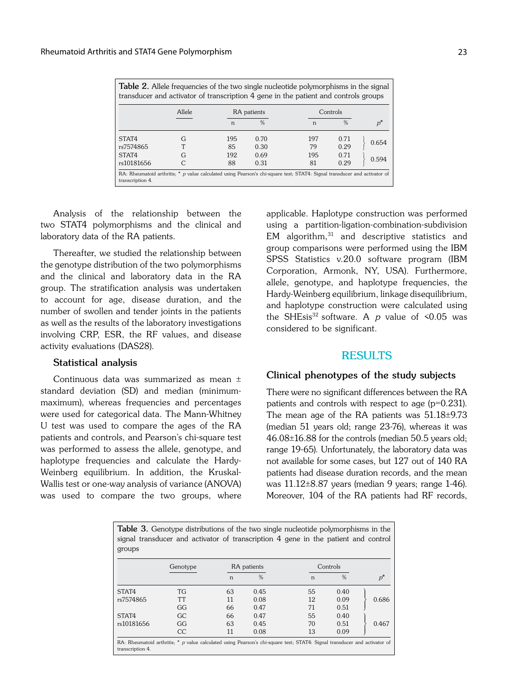| <b>Table 2.</b> Allele frequencies of the two single nucleotide polymorphisms in the signal<br>transducer and activator of transcription 4 gene in the patient and controls groups |                |           |               |              |               |       |  |  |  |
|------------------------------------------------------------------------------------------------------------------------------------------------------------------------------------|----------------|-----------|---------------|--------------|---------------|-------|--|--|--|
| Allele<br>Controls<br>RA patients                                                                                                                                                  |                |           |               |              |               |       |  |  |  |
|                                                                                                                                                                                    |                | n         | $\frac{0}{6}$ | $\mathsf{n}$ | $\frac{0}{0}$ |       |  |  |  |
| STAT4<br>rs7574865                                                                                                                                                                 | G              | 195<br>85 | 0.70<br>0.30  | 197<br>79    | 0.71<br>0.29  | 0.654 |  |  |  |
| STAT4<br>rs10181656                                                                                                                                                                | G<br>$\subset$ | 192<br>88 | 0.69<br>0.31  | 195<br>81    | 0.71<br>0.29  | 0.594 |  |  |  |
| RA: Rheumatoid arthritis; * p value calculated using Pearson's chi-square test; STAT4: Signal transducer and activator of<br>transcription 4.                                      |                |           |               |              |               |       |  |  |  |

Analysis of the relationship between the two STAT4 polymorphisms and the clinical and laboratory data of the RA patients.

Thereafter, we studied the relationship between the genotype distribution of the two polymorphisms and the clinical and laboratory data in the RA group. The stratification analysis was undertaken to account for age, disease duration, and the number of swollen and tender joints in the patients as well as the results of the laboratory investigations involving CRP, ESR, the RF values, and disease activity evaluations (DAS28).

## **Statistical analysis**

Continuous data was summarized as mean ± standard deviation (SD) and median (minimummaximum), whereas frequencies and percentages were used for categorical data. The Mann-Whitney U test was used to compare the ages of the RA patients and controls, and Pearson's chi-square test was performed to assess the allele, genotype, and haplotype frequencies and calculate the Hardy-Weinberg equilibrium. In addition, the Kruskal-Wallis test or one-way analysis of variance (ANOVA) was used to compare the two groups, where applicable. Haplotype construction was performed using a partition-ligation-combination-subdivision  $EM$  algorithm, $31$  and descriptive statistics and group comparisons were performed using the IBM SPSS Statistics v.20.0 software program (IBM Corporation, Armonk, NY, USA). Furthermore, allele, genotype, and haplotype frequencies, the Hardy-Weinberg equilibrium, linkage disequilibrium, and haplotype construction were calculated using the SHEsis<sup>32</sup> software. A p value of  $\leq 0.05$  was considered to be significant.

# **RESULTS**

## **Clinical phenotypes of the study subjects**

There were no significant differences between the RA patients and controls with respect to age (p=0.231). The mean age of the RA patients was 51.18±9.73 (median 51 years old; range 23-76), whereas it was 46.08±16.88 for the controls (median 50.5 years old; range 19-65). Unfortunately, the laboratory data was not available for some cases, but 127 out of 140 RA patients had disease duration records, and the mean was 11.12±8.87 years (median 9 years; range 1-46). Moreover, 104 of the RA patients had RF records,

**Table 3.** Genotype distributions of the two single nucleotide polymorphisms in the signal transducer and activator of transcription 4 gene in the patient and control groups

|                                                                                                                                               | Genotype  |    | RA patients   |    | Controls      |       |  |  |
|-----------------------------------------------------------------------------------------------------------------------------------------------|-----------|----|---------------|----|---------------|-------|--|--|
|                                                                                                                                               |           | n  | $\frac{0}{0}$ | n  | $\frac{0}{0}$ | $p^*$ |  |  |
| STAT4                                                                                                                                         | <b>TG</b> | 63 | 0.45          | 55 | 0.40          |       |  |  |
| rs7574865                                                                                                                                     | TТ        | 11 | 0.08          | 12 | 0.09          | 0.686 |  |  |
|                                                                                                                                               | GG        | 66 | 0.47          | 71 | 0.51          |       |  |  |
| STAT4                                                                                                                                         | GC.       | 66 | 0.47          | 55 | 0.40          |       |  |  |
| rs10181656                                                                                                                                    | GG        | 63 | 0.45          | 70 | 0.51          | 0.467 |  |  |
|                                                                                                                                               | CC        | 11 | 0.08          | 13 | 0.09          |       |  |  |
| RA: Rheumatoid arthritis; * p value calculated using Pearson's chi-square test; STAT4: Signal transducer and activator of<br>transcription 4. |           |    |               |    |               |       |  |  |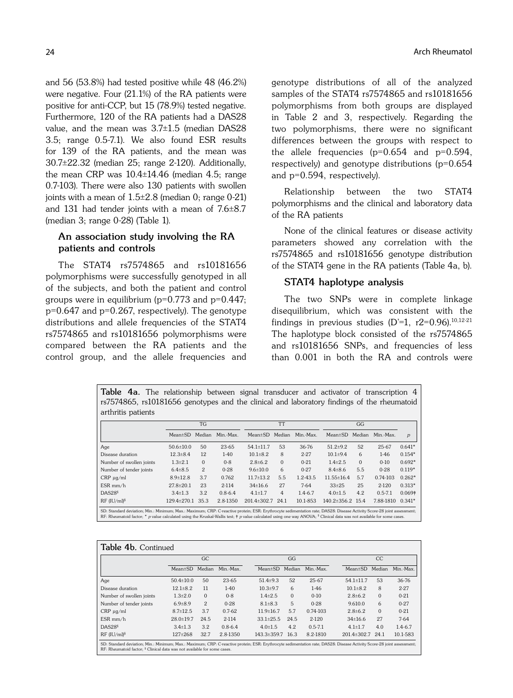and 56 (53.8%) had tested positive while 48 (46.2%) were negative. Four (21.1%) of the RA patients were positive for anti-CCP, but 15 (78.9%) tested negative. Furthermore, 120 of the RA patients had a DAS28 value, and the mean was 3.7±1.5 (median DAS28 3.5; range 0.5-7.1). We also found ESR results for 139 of the RA patients, and the mean was 30.7±22.32 (median 25; range 2-120). Additionally, the mean CRP was 10.4±14.46 (median 4.5; range 0.7-103). There were also 130 patients with swollen joints with a mean of 1.5±2.8 (median 0; range 0-21) and 131 had tender joints with a mean of 7.6±8.7 (median 3; range 0-28) (Table 1).

## **An association study involving the RA patients and controls**

The STAT4 rs7574865 and rs10181656 polymorphisms were successfully genotyped in all of the subjects, and both the patient and control groups were in equilibrium ( $p=0.773$  and  $p=0.447$ ;  $p=0.647$  and  $p=0.267$ , respectively). The genotype distributions and allele frequencies of the STAT4 rs7574865 and rs10181656 polymorphisms were compared between the RA patients and the control group, and the allele frequencies and

genotype distributions of all of the analyzed samples of the STAT4 rs7574865 and rs10181656 polymorphisms from both groups are displayed in Table 2 and 3, respectively. Regarding the two polymorphisms, there were no significant differences between the groups with respect to the allele frequencies ( $p=0.654$  and  $p=0.594$ , respectively) and genotype distributions ( $p=0.654$ and p=0.594, respectively).

Relationship between the two STAT4 polymorphisms and the clinical and laboratory data of the RA patients

None of the clinical features or disease activity parameters showed any correlation with the rs7574865 and rs10181656 genotype distribution of the STAT4 gene in the RA patients (Table 4a, b).

### **STAT4 haplotype analysis**

The two SNPs were in complete linkage disequilibrium, which was consistent with the findings in previous studies  $(D=1, r2=0.96)$ .<sup>10,12-21</sup> The haplotype block consisted of the rs7574865 and rs10181656 SNPs, and frequencies of less than 0.001 in both the RA and controls were

Table 4a. The relationship between signal transducer and activator of transcription 4 rs7574865, rs10181656 genotypes and the clinical and laboratory findings of the rheumatoid arthritis patients

|                                                                                                                                                                                                                                                                                                                                                                      |                 | TG             |             |                 | <b>TT</b> |              |                        |          |             |                |
|----------------------------------------------------------------------------------------------------------------------------------------------------------------------------------------------------------------------------------------------------------------------------------------------------------------------------------------------------------------------|-----------------|----------------|-------------|-----------------|-----------|--------------|------------------------|----------|-------------|----------------|
|                                                                                                                                                                                                                                                                                                                                                                      | $Mean \pm SD$   | Median         | Min.-Max.   | Mean±SD Median  |           | Min.-Max.    | $Mean \pm SD$          | Median   | Min.-Max.   | $\overline{p}$ |
| Age                                                                                                                                                                                                                                                                                                                                                                  | $50.6 \pm 10.0$ | 50             | 23-65       | $54.1 \pm 11.7$ | 53        | 36-76        | $51.2+9.2$             | 52       | $25 - 67$   | $0.641*$       |
| Disease duration                                                                                                                                                                                                                                                                                                                                                     | $12.3 \pm 8.4$  | 12             | $1-40$      | $10.1 \pm 8.2$  | 8         | $2 - 27$     | $10.1 \pm 9.4$         | 6        | $1 - 46$    | $0.154*$       |
| Number of swollen joints                                                                                                                                                                                                                                                                                                                                             | $1.3 \pm 2.1$   | $\mathbf{0}$   | $0 - 8$     | $2.8 \pm 6.2$   | $\Omega$  | $0 - 21$     | $1.4 \pm 2.5$          | $\Omega$ | $0 - 10$    | $0.692*$       |
| Number of tender joints                                                                                                                                                                                                                                                                                                                                              | $6.4 \pm 8.5$   | $\mathfrak{D}$ | $0 - 28$    | $9.6 \pm 10.0$  | 6         | $0 - 27$     | $8.4\pm8.6$            | 5.5      | $0 - 28$    | $0.119*$       |
| $CRP \mu q/ml$                                                                                                                                                                                                                                                                                                                                                       | $8.9 \pm 12.8$  | 3.7            | 0.762       | $11.7 \pm 13.2$ | 5.5       | $1.2 - 43.5$ | $11.55 \pm 16.4$       | 5.7      | 0.74-103    | $0.262*$       |
| $ESR$ mm/h                                                                                                                                                                                                                                                                                                                                                           | $27.8 \pm 20.1$ | 23             | 2-114       | $34\pm16.6$     | 27        | $7 - 64$     | $33 + 25$              | 25       | $2 - 120$   | $0.313*$       |
| DAS28 <sup>§</sup>                                                                                                                                                                                                                                                                                                                                                   | $3.4 \pm 1.3$   | 3.2            | $0.8 - 6.4$ | $4.1 \pm 1.7$   | 4         | $1.4 - 6.7$  | $4.0 \pm 1.5$          | 4.2      | $0.5 - 7.1$ | $0.069*$       |
| $RF$ (IU/ml) <sup>§</sup>                                                                                                                                                                                                                                                                                                                                            | 129.4±270.1     | 35.3           | 2.8-1350    | 201.4±302.7     | 24.1      | 10.1-853     | $140.2 \pm 356.2$ 15.4 |          | 7.88-1810   | $0.341*$       |
| SD: Standard deviation; Min.: Minimum; Max.: Maximum; CRP: C-reactive protein; ESR: Erythrocyte sedimentation rate; DAS28: Disease Activity Score-28 joint assessment;<br>RF: Rheumatoid factor; * p value calculated using the Kruskal-Wallis test; $\dagger$ p value calculated using one way ANOVA; $\frac{6}{3}$ Clinical data was not available for some cases. |                 |                |             |                 |           |              |                        |          |             |                |

| Table 4b. Continued                                                                                                                                                                                                                                           |                 |                |             |  |                  |          |              |  |                 |          |             |  |
|---------------------------------------------------------------------------------------------------------------------------------------------------------------------------------------------------------------------------------------------------------------|-----------------|----------------|-------------|--|------------------|----------|--------------|--|-----------------|----------|-------------|--|
|                                                                                                                                                                                                                                                               |                 | GC.            |             |  |                  | GG       |              |  | CC              |          |             |  |
|                                                                                                                                                                                                                                                               | $Mean \pm SD$   | Median         | Min.-Max.   |  | $Mean \pm SD$    | Median   | Min.-Max.    |  | $Mean \pm SD$   | Median   | Min.-Max.   |  |
| Age                                                                                                                                                                                                                                                           | $50.4 \pm 10.0$ | 50             | $23 - 65$   |  | $51.4 \pm 9.3$   | 52       | $25 - 67$    |  | $54.1 \pm 11.7$ | 53       | 36-76       |  |
| Disease duration                                                                                                                                                                                                                                              | $12.1 \pm 8.2$  | 11             | $1-40$      |  | $10.3{\pm}9.7$   | 6        | $1-46$       |  | $10.1 \pm 8.2$  | 8        | $2 - 27$    |  |
| Number of swollen joints                                                                                                                                                                                                                                      | $1.3{\pm}2.0$   | $\Omega$       | $0 - 8$     |  | $1.4 \pm 2.5$    | $\Omega$ | $0-10$       |  | $2.8\pm 6.2$    | $\Omega$ | $0 - 21$    |  |
| Number of tender joints                                                                                                                                                                                                                                       | $6.9{\pm}8.9$   | $\mathfrak{D}$ | $0 - 28$    |  | $8.1 \pm 8.3$    | 5        | $0 - 28$     |  | 9.610.0         | 6        | $0 - 27$    |  |
| $CRP \mu q/ml$                                                                                                                                                                                                                                                | $8.7 \pm 12.5$  | 3.7            | $0.7-62$    |  | $11.9 \pm 16.7$  | 5.7      | $0.74 - 103$ |  | $2.8\pm 6.2$    | $\Omega$ | $0 - 21$    |  |
| $ESR$ mm/h                                                                                                                                                                                                                                                    | $28.0 \pm 19.7$ | 24.5           | $2 - 114$   |  | $33.1 \pm 25.5$  | 24.5     | $2 - 120$    |  | $34\pm16.6$     | 27       | $7 - 64$    |  |
| DASS28 <sup>5</sup>                                                                                                                                                                                                                                           | $3.4 \pm 1.3$   | 3.2.           | $0.8 - 6.4$ |  | $4.0 \pm 1.5$    | 4.2.     | $0.5 - 7.1$  |  | $4.1 \pm 1.7$   | 4.0      | $1.4 - 6.7$ |  |
| $RF$ (IU/ml) <sup>§</sup>                                                                                                                                                                                                                                     | 127±268         | 32.7           | 2.8-1350    |  | 143.3±359.7 16.3 |          | 8.2-1810     |  | 201.4±302.7     | 24.1     | 10.1-583    |  |
| SD: Standard deviation; Min.: Minimum; Max.: Maximum; CRP: C-reactive protein; ESR: Erythrocyte sedimentation rate; DAS28: Disease Activity Score-28 joint assessment;<br>RF: Rheumatoid factor: <sup>§</sup> Clinical data was not available for some cases. |                 |                |             |  |                  |          |              |  |                 |          |             |  |

24 **Arch Rheumatol** 24 **Arch Rheumatol** 24 **Arch Rheumatol**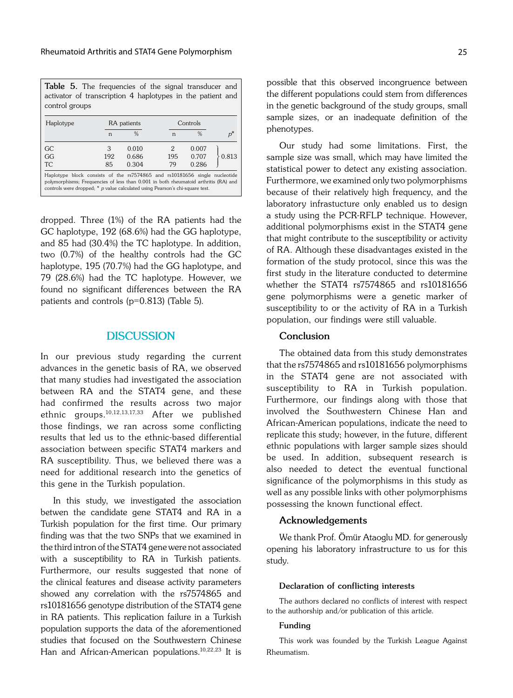| <b>Table 5.</b> The frequencies of the signal transducer and<br>activator of transcription 4 haplotypes in the patient and<br>control groups                                                                                                      |              |               |     |               |       |  |  |  |
|---------------------------------------------------------------------------------------------------------------------------------------------------------------------------------------------------------------------------------------------------|--------------|---------------|-----|---------------|-------|--|--|--|
| Haplotype                                                                                                                                                                                                                                         |              | RA patients   |     | Controls      |       |  |  |  |
|                                                                                                                                                                                                                                                   | $\mathsf{n}$ | $\frac{0}{6}$ | n   | $\frac{0}{6}$ |       |  |  |  |
| GC.                                                                                                                                                                                                                                               | 3            | 0.010         | 2   | 0.007         |       |  |  |  |
| GG                                                                                                                                                                                                                                                | 192          | 0.686         | 195 | 0.707         | 0.813 |  |  |  |
| <b>TC</b>                                                                                                                                                                                                                                         | 85           | 0.304         | 79  | 0.286         |       |  |  |  |
| Haplotype block consists of the rs7574865 and rs10181656 single nucleotide<br>polymorphisms; Frequencies of less than 0.001 in both rheumatoid arthritis (RA) and<br>controls were dropped; * p value calculated using Pearson's chi-square test. |              |               |     |               |       |  |  |  |

dropped. Three (1%) of the RA patients had the GC haplotype, 192 (68.6%) had the GG haplotype, and 85 had (30.4%) the TC haplotype. In addition, two (0.7%) of the healthy controls had the GC haplotype, 195 (70.7%) had the GG haplotype, and 79 (28.6%) had the TC haplotype. However, we found no significant differences between the RA patients and controls (p=0.813) (Table 5).

## **DISCUSSION**

In our previous study regarding the current advances in the genetic basis of RA, we observed that many studies had investigated the association between RA and the STAT4 gene, and these had confirmed the results across two major ethnic groups.10,12,13,17,33 After we published those findings, we ran across some conflicting results that led us to the ethnic-based differential association between specific STAT4 markers and RA susceptibility. Thus, we believed there was a need for additional research into the genetics of this gene in the Turkish population.

In this study, we investigated the association betwen the candidate gene STAT4 and RA in a Turkish population for the first time. Our primary finding was that the two SNPs that we examined in the third intron of the STAT4 gene were not associated with a susceptibility to RA in Turkish patients. Furthermore, our results suggested that none of the clinical features and disease activity parameters showed any correlation with the rs7574865 and rs10181656 genotype distribution of the STAT4 gene in RA patients. This replication failure in a Turkish population supports the data of the aforementioned studies that focused on the Southwestern Chinese Han and African-American populations.10,22,23 It is possible that this observed incongruence between the different populations could stem from differences in the genetic background of the study groups, small sample sizes, or an inadequate definition of the phenotypes.

Our study had some limitations. First, the sample size was small, which may have limited the statistical power to detect any existing association. Furthermore, we examined only two polymorphisms because of their relatively high frequency, and the laboratory infrastucture only enabled us to design a study using the PCR-RFLP technique. However, additional polymorphisms exist in the STAT4 gene that might contribute to the susceptibility or activity of RA. Although these disadvantages existed in the formation of the study protocol, since this was the first study in the literature conducted to determine whether the STAT4 rs7574865 and rs10181656 gene polymorphisms were a genetic marker of susceptibility to or the activity of RA in a Turkish population, our findings were still valuable.

## **Conclusion**

The obtained data from this study demonstrates that the rs7574865 and rs10181656 polymorphisms in the STAT4 gene are not associated with susceptibility to RA in Turkish population. Furthermore, our findings along with those that involved the Southwestern Chinese Han and African-American populations, indicate the need to replicate this study; however, in the future, different ethnic populations with larger sample sizes should be used. In addition, subsequent research is also needed to detect the eventual functional significance of the polymorphisms in this study as well as any possible links with other polymorphisms possessing the known functional effect.

## **Acknowledgements**

We thank Prof. Ömür Ataoglu MD. for generously opening his laboratory infrastructure to us for this study.

#### **Declaration of conflicting interests**

The authors declared no conflicts of interest with respect to the authorship and/or publication of this article.

#### **Funding**

This work was founded by the Turkish League Against Rheumatism.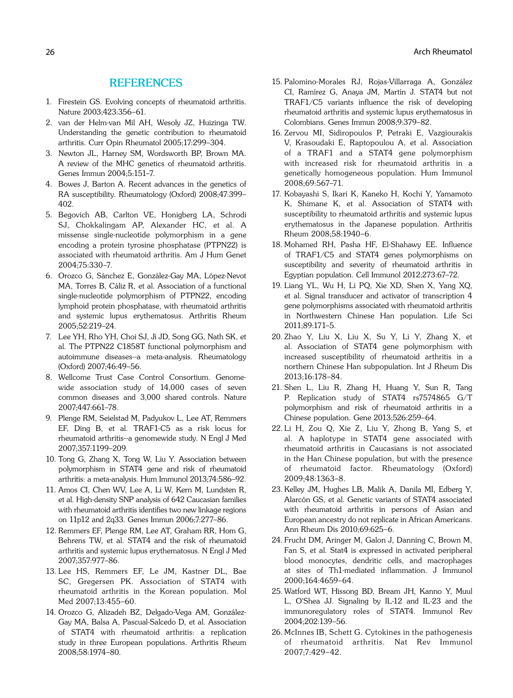# **REFERENCES**

- 1. Firestein GS. Evolving concepts of rheumatoid arthritis. Nature 2003;423:356–61.
- 2. van der Helm-van Mil AH, Wesoly JZ, Huizinga TW. Understanding the genetic contribution to rheumatoid arthritis. Curr Opin Rheumatol 2005;17:299–304.
- 3. Newton JL, Harney SM, Wordsworth BP, Brown MA. A review of the MHC genetics of rheumatoid arthritis. Genes Immun 2004;5:151–7.
- 4. Bowes J, Barton A. Recent advances in the genetics of RA susceptibility. Rheumatology (Oxford) 2008;47:399– 402.
- 5. Begovich AB, Carlton VE, Honigberg LA, Schrodi SJ, Chokkalingam AP, Alexander HC, et al. A missense single-nucleotide polymorphism in a gene encoding a protein tyrosine phosphatase (PTPN22) is associated with rheumatoid arthritis. Am J Hum Genet 2004;75:330–7.
- 6. Orozco G, Sánchez E, González-Gay MA, López-Nevot MA, Torres B, Cáliz R, et al. Association of a functional single-nucleotide polymorphism of PTPN22, encoding lymphoid protein phosphatase, with rheumatoid arthritis and systemic lupus erythematosus. Arthritis Rheum 2005;52:219–24.
- 7. Lee YH, Rho YH, Choi SJ, Ji JD, Song GG, Nath SK, et al. The PTPN22 C1858T functional polymorphism and autoimmune diseases--a meta-analysis. Rheumatology (Oxford) 2007;46:49–56.
- 8. Wellcome Trust Case Control Consortium. Genomewide association study of 14,000 cases of seven common diseases and 3,000 shared controls. Nature 2007;447:661–78.
- 9. Plenge RM, Seielstad M, Padyukov L, Lee AT, Remmers EF, Ding B, et al. TRAF1-C5 as a risk locus for rheumatoid arthritis--a genomewide study. N Engl J Med 2007;357:1199–209.
- 10. Tong G, Zhang X, Tong W, Liu Y. Association between polymorphism in STAT4 gene and risk of rheumatoid arthritis: a meta-analysis. Hum Immunol 2013;74:586–92.
- 11. Amos CI, Chen WV, Lee A, Li W, Kern M, Lundsten R, et al. High-density SNP analysis of 642 Caucasian families with rheumatoid arthritis identifies two new linkage regions on 11p12 and 2q33. Genes Immun 2006;7:277–86.
- 12. Remmers EF, Plenge RM, Lee AT, Graham RR, Hom G, Behrens TW, et al. STAT4 and the risk of rheumatoid arthritis and systemic lupus erythematosus. N Engl J Med 2007;357:977–86.
- 13. Lee HS, Remmers EF, Le JM, Kastner DL, Bae SC, Gregersen PK. Association of STAT4 with rheumatoid arthritis in the Korean population. Mol Med 2007;13:455–60.
- 14. Orozco G, Alizadeh BZ, Delgado-Vega AM, González-Gay MA, Balsa A, Pascual-Salcedo D, et al. Association of STAT4 with rheumatoid arthritis: a replication study in three European populations. Arthritis Rheum 2008;58:1974–80.
- 15. Palomino-Morales RJ, Rojas-Villarraga A, González CI, Ramírez G, Anaya JM, Martín J. STAT4 but not TRAF1/C5 variants influence the risk of developing rheumatoid arthritis and systemic lupus erythematosus in Colombians. Genes Immun 2008;9:379–82.
- 16. Zervou MI, Sidiropoulos P, Petraki E, Vazgiourakis V, Krasoudaki E, Raptopoulou A, et al. Association of a TRAF1 and a STAT4 gene polymorphism with increased risk for rheumatoid arthritis in a genetically homogeneous population. Hum Immunol 2008;69:567–71.
- 17. Kobayashi S, Ikari K, Kaneko H, Kochi Y, Yamamoto K, Shimane K, et al. Association of STAT4 with susceptibility to rheumatoid arthritis and systemic lupus erythematosus in the Japanese population. Arthritis Rheum 2008;58:1940–6.
- 18. Mohamed RH, Pasha HF, El-Shahawy EE. Influence of TRAF1/C5 and STAT4 genes polymorphisms on susceptibility and severity of rheumatoid arthritis in Egyptian population. Cell Immunol 2012;273:67–72.
- 19. Liang YL, Wu H, Li PQ, Xie XD, Shen X, Yang XQ, et al. Signal transducer and activator of transcription 4 gene polymorphisms associated with rheumatoid arthritis in Northwestern Chinese Han population. Life Sci 2011;89:171–5.
- 20. Zhao Y, Liu X, Liu X, Su Y, Li Y, Zhang X, et al. Association of STAT4 gene polymorphism with increased susceptibility of rheumatoid arthritis in a northern Chinese Han subpopulation. Int J Rheum Dis 2013;16:178–84.
- 21. Shen L, Liu R, Zhang H, Huang Y, Sun R, Tang P. Replication study of STAT4 rs7574865 G/T polymorphism and risk of rheumatoid arthritis in a Chinese population. Gene 2013;526:259–64.
- 22. Li H, Zou Q, Xie Z, Liu Y, Zhong B, Yang S, et al. A haplotype in STAT4 gene associated with rheumatoid arthritis in Caucasians is not associated in the Han Chinese population, but with the presence of rheumatoid factor. Rheumatology (Oxford) 2009;48:1363–8.
- 23. Kelley JM, Hughes LB, Malik A, Danila MI, Edberg Y, Alarcón GS, et al. Genetic variants of STAT4 associated with rheumatoid arthritis in persons of Asian and European ancestry do not replicate in African Americans. Ann Rheum Dis 2010;69:625–6.
- 24. Frucht DM, Aringer M, Galon J, Danning C, Brown M, Fan S, et al. Stat4 is expressed in activated peripheral blood monocytes, dendritic cells, and macrophages at sites of Th1-mediated inflammation. J Immunol 2000;164:4659–64.
- 25. Watford WT, Hissong BD, Bream JH, Kanno Y, Muul L, O'Shea JJ. Signaling by IL-12 and IL-23 and the immunoregulatory roles of STAT4. Immunol Rev 2004;202:139–56.
- 26. McInnes IB, Schett G. Cytokines in the pathogenesis of rheumatoid arthritis. Nat Rev Immunol 2007;7:429–42.